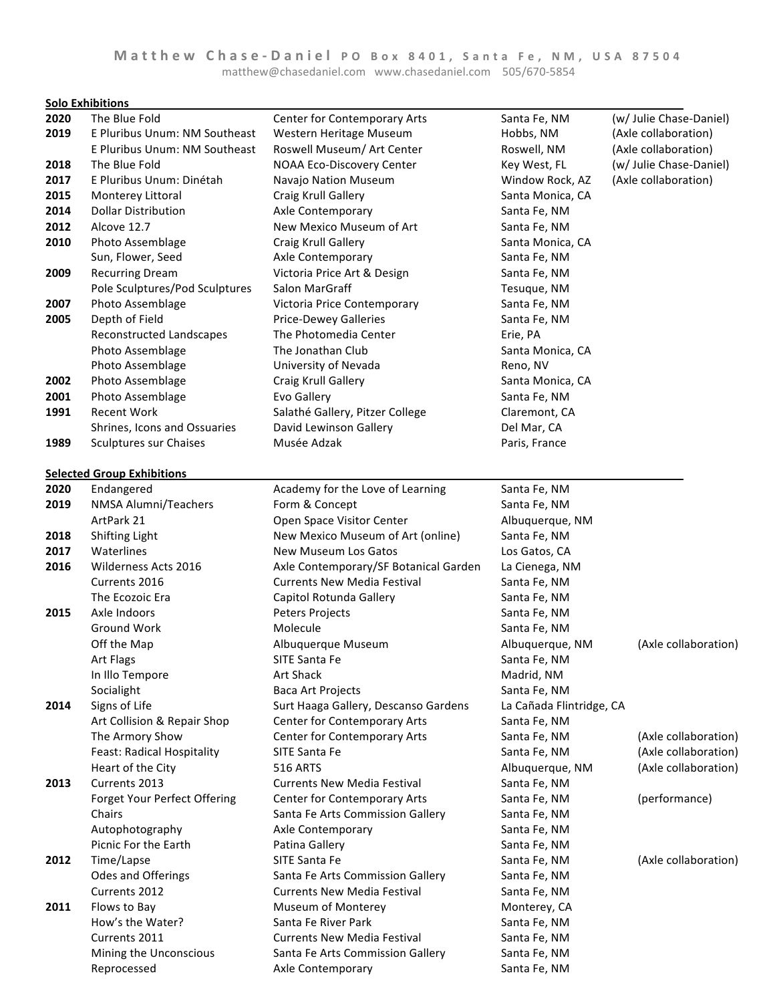**Solo Exhibitions** 

| 2020 | The Blue Fold                     | Center for Contemporary Arts          | Santa Fe, NM             | (w/ Julie Chase-Daniel) |
|------|-----------------------------------|---------------------------------------|--------------------------|-------------------------|
| 2019 | E Pluribus Unum: NM Southeast     | Western Heritage Museum               | Hobbs, NM                | (Axle collaboration)    |
|      | E Pluribus Unum: NM Southeast     | Roswell Museum/ Art Center            | Roswell, NM              | (Axle collaboration)    |
| 2018 | The Blue Fold                     | NOAA Eco-Discovery Center             | Key West, FL             | (w/ Julie Chase-Daniel) |
| 2017 | E Pluribus Unum: Dinétah          | Navajo Nation Museum                  | Window Rock, AZ          | (Axle collaboration)    |
| 2015 | Monterey Littoral                 | Craig Krull Gallery                   | Santa Monica, CA         |                         |
| 2014 | <b>Dollar Distribution</b>        | Axle Contemporary                     | Santa Fe, NM             |                         |
| 2012 | Alcove 12.7                       | New Mexico Museum of Art              | Santa Fe, NM             |                         |
| 2010 | Photo Assemblage                  | Craig Krull Gallery                   | Santa Monica, CA         |                         |
|      | Sun, Flower, Seed                 | Axle Contemporary                     | Santa Fe, NM             |                         |
| 2009 | <b>Recurring Dream</b>            | Victoria Price Art & Design           | Santa Fe, NM             |                         |
|      | Pole Sculptures/Pod Sculptures    | Salon MarGraff                        | Tesuque, NM              |                         |
| 2007 | Photo Assemblage                  | Victoria Price Contemporary           | Santa Fe, NM             |                         |
| 2005 | Depth of Field                    | <b>Price-Dewey Galleries</b>          | Santa Fe, NM             |                         |
|      | Reconstructed Landscapes          | The Photomedia Center                 | Erie, PA                 |                         |
|      | Photo Assemblage                  | The Jonathan Club                     | Santa Monica, CA         |                         |
|      | Photo Assemblage                  | University of Nevada                  | Reno, NV                 |                         |
| 2002 | Photo Assemblage                  | Craig Krull Gallery                   | Santa Monica, CA         |                         |
| 2001 | Photo Assemblage                  | Evo Gallery                           | Santa Fe, NM             |                         |
| 1991 | <b>Recent Work</b>                | Salathé Gallery, Pitzer College       | Claremont, CA            |                         |
|      | Shrines, Icons and Ossuaries      | David Lewinson Gallery                | Del Mar, CA              |                         |
| 1989 | Sculptures sur Chaises            | Musée Adzak                           | Paris, France            |                         |
|      |                                   |                                       |                          |                         |
|      | <b>Selected Group Exhibitions</b> |                                       |                          |                         |
| 2020 | Endangered                        | Academy for the Love of Learning      | Santa Fe, NM             |                         |
| 2019 | NMSA Alumni/Teachers              | Form & Concept                        | Santa Fe, NM             |                         |
|      | ArtPark 21                        | Open Space Visitor Center             | Albuquerque, NM          |                         |
| 2018 | <b>Shifting Light</b>             | New Mexico Museum of Art (online)     | Santa Fe, NM             |                         |
| 2017 | Waterlines                        | New Museum Los Gatos                  | Los Gatos, CA            |                         |
| 2016 | Wilderness Acts 2016              | Axle Contemporary/SF Botanical Garden | La Cienega, NM           |                         |
|      | Currents 2016                     | <b>Currents New Media Festival</b>    | Santa Fe, NM             |                         |
|      | The Ecozoic Era                   | Capitol Rotunda Gallery               | Santa Fe, NM             |                         |
| 2015 | Axle Indoors                      | Peters Projects                       | Santa Fe, NM             |                         |
|      | Ground Work                       | Molecule                              | Santa Fe, NM             |                         |
|      | Off the Map                       | Albuquerque Museum                    | Albuquerque, NM          | (Axle collaboration)    |
|      | Art Flags                         | SITE Santa Fe                         | Santa Fe, NM             |                         |
|      | In Illo Tempore                   | Art Shack                             | Madrid, NM               |                         |
|      | Socialight                        | Baca Art Projects                     | Santa Fe, NM             |                         |
| 2014 | Signs of Life                     | Surt Haaga Gallery, Descanso Gardens  | La Cañada Flintridge, CA |                         |
|      | Art Collision & Repair Shop       | Center for Contemporary Arts          | Santa Fe, NM             |                         |
|      | The Armory Show                   | Center for Contemporary Arts          | Santa Fe, NM             | (Axle collaboration)    |
|      | Feast: Radical Hospitality        | SITE Santa Fe                         | Santa Fe, NM             | (Axle collaboration)    |
|      | Heart of the City                 | <b>516 ARTS</b>                       | Albuquerque, NM          | (Axle collaboration)    |
| 2013 | Currents 2013                     | <b>Currents New Media Festival</b>    | Santa Fe, NM             |                         |
|      | Forget Your Perfect Offering      | Center for Contemporary Arts          | Santa Fe, NM             | (performance)           |
|      | Chairs                            | Santa Fe Arts Commission Gallery      | Santa Fe, NM             |                         |
|      | Autophotography                   | Axle Contemporary                     | Santa Fe, NM             |                         |
|      | Picnic For the Earth              | Patina Gallery                        | Santa Fe, NM             |                         |
| 2012 | Time/Lapse                        | SITE Santa Fe                         | Santa Fe, NM             | (Axle collaboration)    |
|      | Odes and Offerings                | Santa Fe Arts Commission Gallery      | Santa Fe, NM             |                         |
|      | Currents 2012                     | <b>Currents New Media Festival</b>    | Santa Fe, NM             |                         |
| 2011 | Flows to Bay                      | Museum of Monterey                    | Monterey, CA             |                         |
|      | How's the Water?                  | Santa Fe River Park                   | Santa Fe, NM             |                         |
|      | Currents 2011                     | <b>Currents New Media Festival</b>    | Santa Fe, NM             |                         |
|      | Mining the Unconscious            | Santa Fe Arts Commission Gallery      | Santa Fe, NM             |                         |
|      | Reprocessed                       | Axle Contemporary                     | Santa Fe, NM             |                         |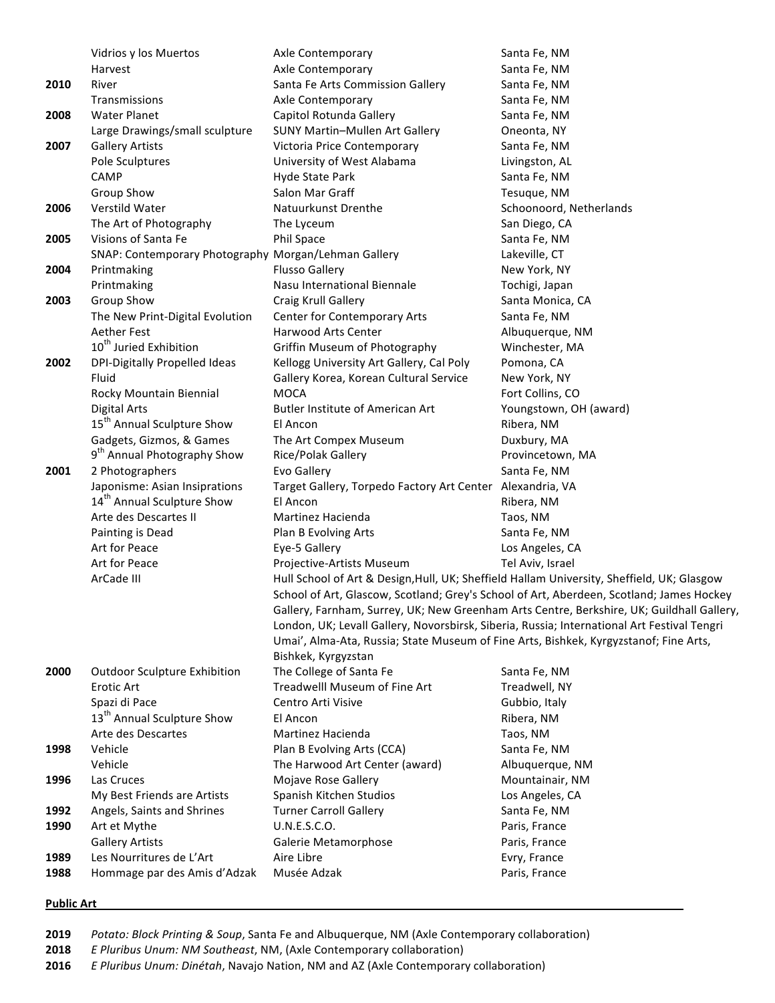|      | Vidrios y los Muertos                                | Axle Contemporary                                                                          | Santa Fe, NM                                                                                |  |
|------|------------------------------------------------------|--------------------------------------------------------------------------------------------|---------------------------------------------------------------------------------------------|--|
|      | Harvest                                              | Axle Contemporary                                                                          | Santa Fe, NM                                                                                |  |
| 2010 | River                                                | Santa Fe Arts Commission Gallery                                                           | Santa Fe, NM                                                                                |  |
|      | Transmissions                                        | Axle Contemporary                                                                          | Santa Fe, NM                                                                                |  |
| 2008 | <b>Water Planet</b>                                  | Capitol Rotunda Gallery                                                                    | Santa Fe, NM                                                                                |  |
|      | Large Drawings/small sculpture                       | SUNY Martin-Mullen Art Gallery                                                             | Oneonta, NY                                                                                 |  |
| 2007 | <b>Gallery Artists</b>                               | Victoria Price Contemporary                                                                | Santa Fe, NM                                                                                |  |
|      | Pole Sculptures                                      | University of West Alabama                                                                 | Livingston, AL                                                                              |  |
|      | CAMP                                                 | Hyde State Park                                                                            | Santa Fe, NM                                                                                |  |
|      | Group Show                                           | Salon Mar Graff                                                                            | Tesuque, NM                                                                                 |  |
| 2006 | Verstild Water                                       | Natuurkunst Drenthe                                                                        | Schoonoord, Netherlands                                                                     |  |
|      | The Art of Photography                               | The Lyceum                                                                                 | San Diego, CA                                                                               |  |
| 2005 | Visions of Santa Fe                                  | Phil Space                                                                                 | Santa Fe, NM                                                                                |  |
|      | SNAP: Contemporary Photography Morgan/Lehman Gallery |                                                                                            | Lakeville, CT                                                                               |  |
| 2004 | Printmaking                                          | <b>Flusso Gallery</b>                                                                      | New York, NY                                                                                |  |
|      | Printmaking                                          | Nasu International Biennale                                                                | Tochigi, Japan                                                                              |  |
| 2003 | Group Show                                           | Craig Krull Gallery                                                                        | Santa Monica, CA                                                                            |  |
|      | The New Print-Digital Evolution                      | Center for Contemporary Arts                                                               | Santa Fe, NM                                                                                |  |
|      | <b>Aether Fest</b>                                   | Harwood Arts Center                                                                        | Albuquerque, NM                                                                             |  |
|      | 10 <sup>th</sup> Juried Exhibition                   | Griffin Museum of Photography                                                              | Winchester, MA                                                                              |  |
| 2002 | DPI-Digitally Propelled Ideas                        | Kellogg University Art Gallery, Cal Poly                                                   |                                                                                             |  |
|      | Fluid                                                | Gallery Korea, Korean Cultural Service                                                     | Pomona, CA<br>New York, NY                                                                  |  |
|      |                                                      |                                                                                            |                                                                                             |  |
|      | Rocky Mountain Biennial                              | <b>MOCA</b>                                                                                | Fort Collins, CO                                                                            |  |
|      | <b>Digital Arts</b>                                  | <b>Butler Institute of American Art</b>                                                    | Youngstown, OH (award)                                                                      |  |
|      | 15 <sup>th</sup> Annual Sculpture Show               | El Ancon                                                                                   | Ribera, NM                                                                                  |  |
|      | Gadgets, Gizmos, & Games                             | The Art Compex Museum                                                                      | Duxbury, MA                                                                                 |  |
|      | 9 <sup>th</sup> Annual Photography Show              | Rice/Polak Gallery                                                                         | Provincetown, MA                                                                            |  |
| 2001 | 2 Photographers                                      | Evo Gallery                                                                                | Santa Fe, NM                                                                                |  |
|      | Japonisme: Asian Insiprations                        | Target Gallery, Torpedo Factory Art Center Alexandria, VA                                  |                                                                                             |  |
|      | 14 <sup>th</sup> Annual Sculpture Show               | El Ancon                                                                                   | Ribera, NM                                                                                  |  |
|      | Arte des Descartes II                                | Martinez Hacienda                                                                          | Taos, NM                                                                                    |  |
|      | Painting is Dead                                     | Plan B Evolving Arts                                                                       | Santa Fe, NM                                                                                |  |
|      | Art for Peace                                        | Eye-5 Gallery                                                                              | Los Angeles, CA                                                                             |  |
|      | Art for Peace                                        | Projective-Artists Museum                                                                  | Tel Aviv, Israel                                                                            |  |
|      | ArCade III                                           | Hull School of Art & Design, Hull, UK; Sheffield Hallam University, Sheffield, UK; Glasgow |                                                                                             |  |
|      |                                                      | School of Art, Glascow, Scotland; Grey's School of Art, Aberdeen, Scotland; James Hockey   |                                                                                             |  |
|      |                                                      |                                                                                            | Gallery, Farnham, Surrey, UK; New Greenham Arts Centre, Berkshire, UK; Guildhall Gallery,   |  |
|      |                                                      |                                                                                            | London, UK; Levall Gallery, Novorsbirsk, Siberia, Russia; International Art Festival Tengri |  |
|      |                                                      | Umai', Alma-Ata, Russia; State Museum of Fine Arts, Bishkek, Kyrgyzstanof; Fine Arts,      |                                                                                             |  |
|      |                                                      | Bishkek, Kyrgyzstan                                                                        |                                                                                             |  |
| 2000 | <b>Outdoor Sculpture Exhibition</b>                  | The College of Santa Fe                                                                    | Santa Fe, NM                                                                                |  |
|      | Erotic Art                                           | Treadwelll Museum of Fine Art                                                              | Treadwell, NY                                                                               |  |
|      | Spazi di Pace                                        | Centro Arti Visive                                                                         | Gubbio, Italy                                                                               |  |
|      | 13 <sup>th</sup> Annual Sculpture Show               | El Ancon                                                                                   | Ribera, NM                                                                                  |  |
|      | Arte des Descartes                                   | <b>Martinez Hacienda</b>                                                                   | Taos, NM                                                                                    |  |
| 1998 | Vehicle                                              | Plan B Evolving Arts (CCA)                                                                 | Santa Fe, NM                                                                                |  |
|      | Vehicle                                              | The Harwood Art Center (award)                                                             | Albuquerque, NM                                                                             |  |
| 1996 | Las Cruces                                           | Mojave Rose Gallery                                                                        | Mountainair, NM                                                                             |  |
|      | My Best Friends are Artists                          | Spanish Kitchen Studios                                                                    | Los Angeles, CA                                                                             |  |
| 1992 | Angels, Saints and Shrines                           | <b>Turner Carroll Gallery</b>                                                              | Santa Fe, NM                                                                                |  |
| 1990 | Art et Mythe                                         | U.N.E.S.C.O.                                                                               | Paris, France                                                                               |  |
|      | <b>Gallery Artists</b>                               | Galerie Metamorphose                                                                       | Paris, France                                                                               |  |
| 1989 | Les Nourritures de L'Art                             | Aire Libre                                                                                 | Evry, France                                                                                |  |
| 1988 | Hommage par des Amis d'Adzak                         | Musée Adzak                                                                                | Paris, France                                                                               |  |
|      |                                                      |                                                                                            |                                                                                             |  |

## **Public Art**

2019 Potato: Block Printing & Soup, Santa Fe and Albuquerque, NM (Axle Contemporary collaboration)

**2018** *E Pluribus Unum: NM Southeast, NM, (Axle Contemporary collaboration)* 

**2016** *E Pluribus Unum: Dinétah*, Navajo Nation, NM and AZ (Axle Contemporary collaboration)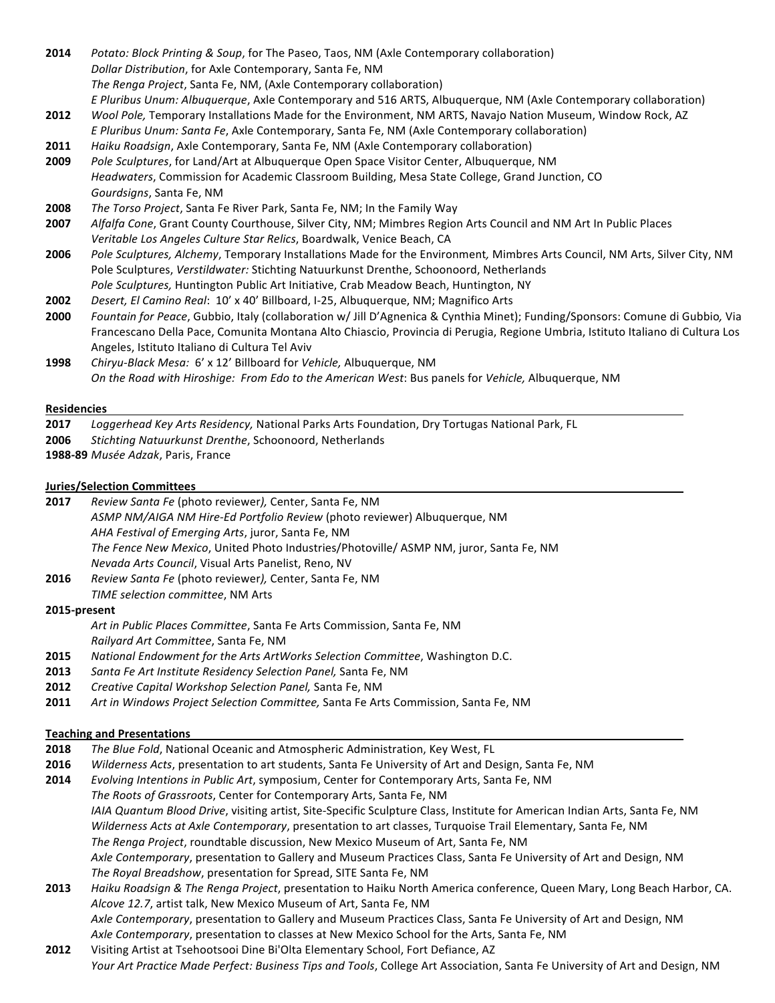- **2014** *Potato: Block Printing & Soup*, for The Paseo, Taos, NM (Axle Contemporary collaboration) *Dollar Distribution*, for Axle Contemporary, Santa Fe, NM The Renga Project, Santa Fe, NM, (Axle Contemporary collaboration) *E* Pluribus Unum: Albuquerque, Axle Contemporary and 516 ARTS, Albuquerque, NM (Axle Contemporary collaboration)
- **2012** *Wool Pole,* Temporary Installations Made for the Environment, NM ARTS, Navajo Nation Museum, Window Rock, AZ *E* Pluribus Unum: Santa Fe, Axle Contemporary, Santa Fe, NM (Axle Contemporary collaboration)
- **2011** *Haiku Roadsign, Axle Contemporary, Santa Fe, NM (Axle Contemporary collaboration)*
- **2009** *Pole Sculptures*, for Land/Art at Albuquerque Open Space Visitor Center, Albuquerque, NM Headwaters, Commission for Academic Classroom Building, Mesa State College, Grand Junction, CO Gourdsigns, Santa Fe, NM
- **2008** The Torso Project, Santa Fe River Park, Santa Fe, NM; In the Family Way
- **2007** *Alfalfa Cone*, Grant County Courthouse, Silver City, NM; Mimbres Region Arts Council and NM Art In Public Places *Veritable Los Angeles Culture Star Relics*, Boardwalk, Venice Beach, CA
- **2006** *Pole Sculptures, Alchemy*, Temporary Installations Made for the Environment, Mimbres Arts Council, NM Arts, Silver City, NM Pole Sculptures, Verstildwater: Stichting Natuurkunst Drenthe, Schoonoord, Netherlands Pole Sculptures, Huntington Public Art Initiative, Crab Meadow Beach, Huntington, NY
- **2002** *Desert, El Camino Real*: 10' x 40' Billboard, I-25, Albuquerque, NM; Magnifico Arts
- **2000** *Fountain for Peace,* Gubbio, Italy (collaboration w/ Jill D'Agnenica & Cynthia Minet); Funding/Sponsors: Comune di Gubbio, Via Francescano Della Pace, Comunita Montana Alto Chiascio, Provincia di Perugia, Regione Umbria, Istituto Italiano di Cultura Los Angeles, Istituto Italiano di Cultura Tel Aviv
- **1998** *Chiryu-Black Mesa:* 6' x 12' Billboard for *Vehicle,* Albuquerque, NM *On the Road with Hiroshige: From Edo to the American West: Bus panels for Vehicle, Albuquerque, NM*

### **Residencies**

## **2017** *Loggerhead Key Arts Residency, National Parks Arts Foundation, Dry Tortugas National Park, FL*

**2006** Stichting Natuurkunst Drenthe, Schoonoord, Netherlands

1988-89 Musée Adzak, Paris, France

## **Juries/Selection Committees**

- **2017** *Review Santa Fe* (photo reviewer*),* Center, Santa Fe, NM *ASMP NM/AIGA NM Hire-Ed Portfolio Review* (photo reviewer) Albuquerque, NM *AHA Festival of Emerging Arts*, juror, Santa Fe, NM *The Fence New Mexico*, United Photo Industries/Photoville/ ASMP NM, juror, Santa Fe, NM *Nevada Arts Council, Visual Arts Panelist, Reno, NV* 2016 Review Santa Fe (photo reviewer), Center, Santa Fe, NM
- **TIME** selection committee, NM Arts

### **2015-present**

Art in Public Places Committee, Santa Fe Arts Commission, Santa Fe, NM *Railyard Art Committee*, Santa Fe, NM

- **2015** National Endowment for the Arts ArtWorks Selection Committee, Washington D.C.
- **2013** *Santa Fe Art Institute Residency Selection Panel,* Santa Fe, NM
- **2012** *Creative Capital Workshop Selection Panel, Santa Fe, NM*
- **2011** Art in Windows Project Selection Committee, Santa Fe Arts Commission, Santa Fe, NM

# **Teaching and Presentations**

- **2018** *The Blue Fold*, National Oceanic and Atmospheric Administration, Key West, FL
- **2016** *Wilderness Acts,* presentation to art students, Santa Fe University of Art and Design, Santa Fe, NM
- **2014** *Evolving Intentions in Public Art*, symposium, Center for Contemporary Arts, Santa Fe, NM The Roots of Grassroots, Center for Contemporary Arts, Santa Fe, NM *IAIA Quantum Blood Drive*, visiting artist, Site-Specific Sculpture Class, Institute for American Indian Arts, Santa Fe, NM *Wilderness Acts at Axle Contemporary*, presentation to art classes, Turquoise Trail Elementary, Santa Fe, NM The Renga Project, roundtable discussion, New Mexico Museum of Art, Santa Fe, NM Axle Contemporary, presentation to Gallery and Museum Practices Class, Santa Fe University of Art and Design, NM *The Royal Breadshow, presentation for Spread, SITE Santa Fe, NM*
- **2013** *Haiku Roadsign & The Renga Project,* presentation to Haiku North America conference, Queen Mary, Long Beach Harbor, CA. Alcove 12.7, artist talk, New Mexico Museum of Art, Santa Fe, NM Axle Contemporary, presentation to Gallery and Museum Practices Class, Santa Fe University of Art and Design, NM Axle Contemporary, presentation to classes at New Mexico School for the Arts, Santa Fe, NM
- **2012** Visiting Artist at Tsehootsooi Dine Bi'Olta Elementary School, Fort Defiance, AZ *Your Art Practice Made Perfect: Business Tips and Tools, College Art Association, Santa Fe University of Art and Design, NM*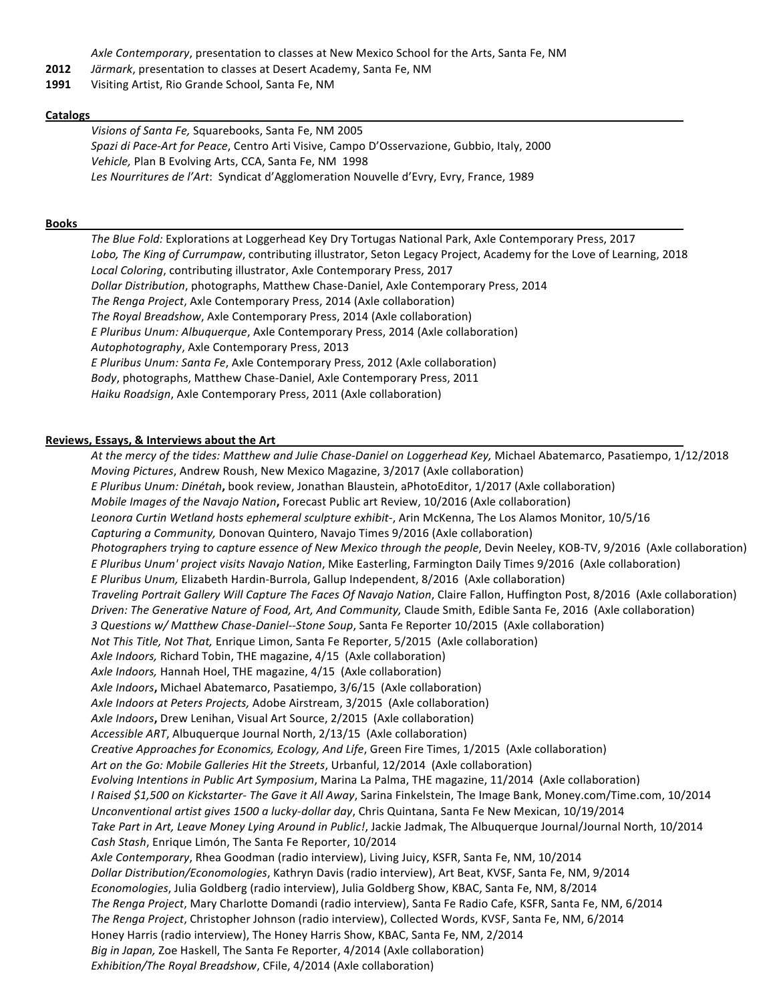Axle Contemporary, presentation to classes at New Mexico School for the Arts, Santa Fe, NM

- **2012** *Järmark*, presentation to classes at Desert Academy, Santa Fe, NM
- 1991 Visiting Artist, Rio Grande School, Santa Fe, NM

#### **Catalogs**

*Visions of Santa Fe, Squarebooks, Santa Fe, NM 2005* Spazi di Pace-Art for Peace, Centro Arti Visive, Campo D'Osservazione, Gubbio, Italy, 2000 Vehicle, Plan B Evolving Arts, CCA, Santa Fe, NM 1998 Les Nourritures de l'Art: Syndicat d'Agglomeration Nouvelle d'Evry, Evry, France, 1989

#### **Books**

The Blue Fold: Explorations at Loggerhead Key Dry Tortugas National Park, Axle Contemporary Press, 2017 Lobo, The King of Currumpaw, contributing illustrator, Seton Legacy Project, Academy for the Love of Learning, 2018 Local Coloring, contributing illustrator, Axle Contemporary Press, 2017 Dollar Distribution, photographs, Matthew Chase-Daniel, Axle Contemporary Press, 2014 *The Renga Project*, Axle Contemporary Press, 2014 (Axle collaboration) *The Royal Breadshow, Axle Contemporary Press, 2014 (Axle collaboration) E* Pluribus Unum: Albuquerque, Axle Contemporary Press, 2014 (Axle collaboration) Autophotography, Axle Contemporary Press, 2013 *E* Pluribus Unum: Santa Fe, Axle Contemporary Press, 2012 (Axle collaboration) *Body*, photographs, Matthew Chase-Daniel, Axle Contemporary Press, 2011 *Haiku Roadsign, Axle Contemporary Press, 2011 (Axle collaboration)* 

#### **Reviews, Essays, & Interviews about the Art**

At the mercy of the tides: Matthew and Julie Chase-Daniel on Loggerhead Key, Michael Abatemarco, Pasatiempo, 1/12/2018 *Moving Pictures, Andrew Roush, New Mexico Magazine, 3/2017 (Axle collaboration) E* Pluribus Unum: Dinétah, book review, Jonathan Blaustein, aPhotoEditor, 1/2017 (Axle collaboration) *Mobile Images of the Navajo Nation, Forecast Public art Review, 10/2016 (Axle collaboration)* Leonora Curtin Wetland hosts ephemeral sculpture exhibit-, Arin McKenna, The Los Alamos Monitor, 10/5/16 *Capturing a Community, Donovan Quintero, Navajo Times 9/2016* (Axle collaboration) *Photographers trying to capture essence of New Mexico through the people, Devin Neeley, KOB-TV, 9/2016* (Axle collaboration) *E* Pluribus Unum' project visits Navajo Nation, Mike Easterling, Farmington Daily Times 9/2016 (Axle collaboration) *E* Pluribus Unum, Elizabeth Hardin-Burrola, Gallup Independent, 8/2016 (Axle collaboration) *Traveling Portrait Gallery Will Capture The Faces Of Navajo Nation*, Claire Fallon, Huffington Post, 8/2016 (Axle collaboration) *Driven:* The Generative Nature of Food, Art, And Community, Claude Smith, Edible Santa Fe, 2016 (Axle collaboration) *3* Questions w/ Matthew Chase-Daniel--Stone Soup, Santa Fe Reporter 10/2015 (Axle collaboration) *Not This Title, Not That,* Enrique Limon, Santa Fe Reporter, 5/2015 (Axle collaboration) Axle Indoors, Richard Tobin, THE magazine, 4/15 (Axle collaboration) Axle Indoors, Hannah Hoel, THE magazine, 4/15 (Axle collaboration) Axle Indoors, Michael Abatemarco, Pasatiempo, 3/6/15 (Axle collaboration) Axle Indoors at Peters Projects, Adobe Airstream, 3/2015 (Axle collaboration) Axle Indoors, Drew Lenihan, Visual Art Source, 2/2015 (Axle collaboration) *Accessible ART*, Albuquerque Journal North, 2/13/15 (Axle collaboration) *Creative Approaches for Economics, Ecology, And Life, Green Fire Times, 1/2015 (Axle collaboration)* Art on the Go: Mobile Galleries Hit the Streets, Urbanful, 12/2014 (Axle collaboration) *Evolving Intentions in Public Art Symposium*, Marina La Palma, THE magazine, 11/2014 (Axle collaboration) *I* Raised \$1,500 on Kickstarter- The Gave it All Away, Sarina Finkelstein, The Image Bank, Money.com/Time.com, 10/2014 *Unconventional artist gives 1500 a lucky-dollar day, Chris Quintana, Santa Fe New Mexican, 10/19/2014* Take Part in Art, Leave Money Lying Around in Public!, Jackie Jadmak, The Albuquerque Journal/Journal North, 10/2014 *Cash Stash*, Enrique Limón, The Santa Fe Reporter, 10/2014 Axle Contemporary, Rhea Goodman (radio interview), Living Juicy, KSFR, Santa Fe, NM, 10/2014 *Dollar Distribution/Economologies*, Kathryn Davis (radio interview), Art Beat, KVSF, Santa Fe, NM, 9/2014 *Economologies*, Julia Goldberg (radio interview), Julia Goldberg Show, KBAC, Santa Fe, NM, 8/2014 The Renga Project, Mary Charlotte Domandi (radio interview), Santa Fe Radio Cafe, KSFR, Santa Fe, NM, 6/2014 The Renga Project, Christopher Johnson (radio interview), Collected Words, KVSF, Santa Fe, NM, 6/2014 Honey Harris (radio interview), The Honey Harris Show, KBAC, Santa Fe, NM, 2/2014 *Big in Japan,* Zoe Haskell, The Santa Fe Reporter, 4/2014 (Axle collaboration) *Exhibition/The Royal Breadshow, CFile, 4/2014 (Axle collaboration)*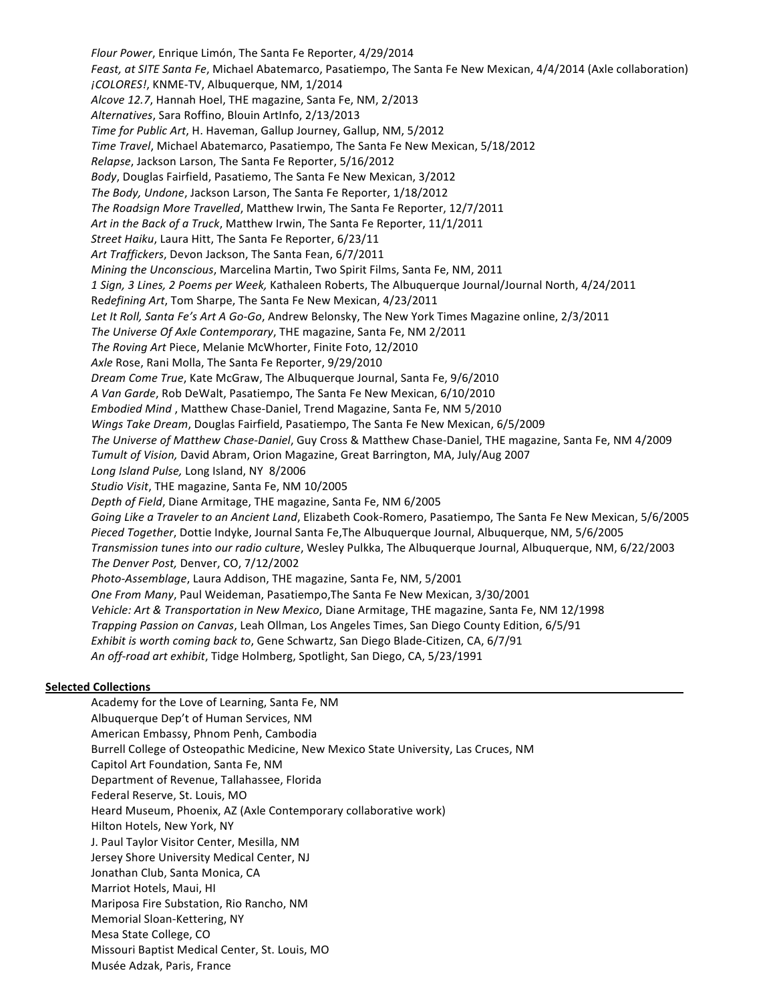*Flour Power*, Enrique Limón, The Santa Fe Reporter, 4/29/2014 Feast, at SITE Santa Fe, Michael Abatemarco, Pasatiempo, The Santa Fe New Mexican, 4/4/2014 (Axle collaboration) *iCOLORES!, KNME-TV, Albuquerque, NM, 1/2014* Alcove 12.7, Hannah Hoel, THE magazine, Santa Fe, NM, 2/2013 *Alternatives*, Sara Roffino, Blouin ArtInfo, 2/13/2013 *Time for Public Art*, H. Haveman, Gallup Journey, Gallup, NM, 5/2012 *Time Travel*, Michael Abatemarco, Pasatiempo, The Santa Fe New Mexican, 5/18/2012 *Relapse*, Jackson Larson, The Santa Fe Reporter, 5/16/2012 *Body*, Douglas Fairfield, Pasatiemo, The Santa Fe New Mexican, 3/2012 *The Body, Undone, Jackson Larson, The Santa Fe Reporter, 1/18/2012* The Roadsign More Travelled, Matthew Irwin, The Santa Fe Reporter, 12/7/2011 Art in the Back of a Truck, Matthew Irwin, The Santa Fe Reporter, 11/1/2011 *Street Haiku*, Laura Hitt, The Santa Fe Reporter, 6/23/11 Art Traffickers, Devon Jackson, The Santa Fean, 6/7/2011 *Mining the Unconscious*, Marcelina Martin, Two Spirit Films, Santa Fe, NM, 2011 *1 Sign, 3 Lines, 2 Poems per Week,* Kathaleen Roberts, The Albuquerque Journal/Journal North, 4/24/2011 Redefining Art, Tom Sharpe, The Santa Fe New Mexican, 4/23/2011 Let It Roll, Santa Fe's Art A Go-Go, Andrew Belonsky, The New York Times Magazine online, 2/3/2011 The Universe Of Axle Contemporary, THE magazine, Santa Fe, NM 2/2011 The Roving Art Piece, Melanie McWhorter, Finite Foto, 12/2010 Axle Rose, Rani Molla, The Santa Fe Reporter, 9/29/2010 *Dream Come True*, Kate McGraw, The Albuquerque Journal, Santa Fe, 9/6/2010 *A Van Garde*, Rob DeWalt, Pasatiempo, The Santa Fe New Mexican, 6/10/2010 *Embodied Mind*, Matthew Chase-Daniel, Trend Magazine, Santa Fe, NM 5/2010 *Wings Take Dream*, Douglas Fairfield, Pasatiempo, The Santa Fe New Mexican, 6/5/2009 The Universe of Matthew Chase-Daniel, Guy Cross & Matthew Chase-Daniel, THE magazine, Santa Fe, NM 4/2009 *Tumult of Vision,* David Abram, Orion Magazine, Great Barrington, MA, July/Aug 2007 Long Island Pulse, Long Island, NY 8/2006 Studio Visit, THE magazine, Santa Fe, NM 10/2005 Depth of Field, Diane Armitage, THE magazine, Santa Fe, NM 6/2005 Going Like a Traveler to an Ancient Land, Elizabeth Cook-Romero, Pasatiempo, The Santa Fe New Mexican, 5/6/2005 Pieced Together, Dottie Indyke, Journal Santa Fe, The Albuquerque Journal, Albuquerque, NM, 5/6/2005 *Transmission tunes into our radio culture*, Wesley Pulkka, The Albuquerque Journal, Albuquerque, NM, 6/22/2003 The Denver Post, Denver, CO, 7/12/2002 *Photo-Assemblage*, Laura Addison, THE magazine, Santa Fe, NM, 5/2001 *One From Many*, Paul Weideman, Pasatiempo,The Santa Fe New Mexican, 3/30/2001 Vehicle: Art & Transportation in New Mexico, Diane Armitage, THE magazine, Santa Fe, NM 12/1998 *Trapping Passion on Canvas*, Leah Ollman, Los Angeles Times, San Diego County Edition, 6/5/91 *Exhibit is worth coming back to,* Gene Schwartz, San Diego Blade-Citizen, CA, 6/7/91 *An off-road art exhibit*, Tidge Holmberg, Spotlight, San Diego, CA, 5/23/1991

# **Selected Collections**

Academy for the Love of Learning, Santa Fe, NM Albuquerque Dep't of Human Services, NM American Embassy, Phnom Penh, Cambodia Burrell College of Osteopathic Medicine, New Mexico State University, Las Cruces, NM Capitol Art Foundation, Santa Fe, NM Department of Revenue, Tallahassee, Florida Federal Reserve, St. Louis, MO Heard Museum, Phoenix, AZ (Axle Contemporary collaborative work) Hilton Hotels, New York, NY J. Paul Taylor Visitor Center, Mesilla, NM Jersey Shore University Medical Center, NJ Jonathan Club, Santa Monica, CA Marriot Hotels, Maui, HI Mariposa Fire Substation, Rio Rancho, NM Memorial Sloan-Kettering, NY Mesa State College, CO Missouri Baptist Medical Center, St. Louis, MO Musée Adzak, Paris, France